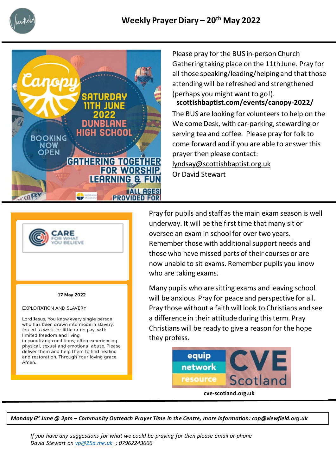



Please pray for the BUS in-person Church Gathering taking place on the 11th June. Pray for all those speaking/leading/helping and that those attending will be refreshed and strengthened (perhaps you might want to go!).

The BUS are looking for volunteers to help on the Welcome Desk, with car-parking, stewarding or serving tea and coffee. Please pray for folk to come forward and if you are able to answer this prayer then please contact: [lyndsay@scottishbaptist.org.uk](mailto:lyndsay@scottishbaptist.org.uk) Or David Stewart **scottishbaptist.com/events/canopy-2022/**



Pray for pupils and staff as the main exam season is well underway. It will be the first time that many sit or oversee an exam in school for over two years. Remember those with additional support needs and those who have missed parts of their courses or are now unable to sit exams. Remember pupils you know who are taking exams.

Many pupils who are sitting exams and leaving school will be anxious. Pray for peace and perspective for all. Pray those without a faith will look to Christians and see a difference in their attitude during this term. Pray Christians will be ready to give a reason for the hope they profess.



**cve-scotland.org.uk**

*Monday 6th June @ 2pm – Community Outreach Prayer Time in the Centre, more information: cop@viewfield.org.uk*

*If you have any suggestions for what we could be praying for then please email or phone David Stewart on [vp@25a.me.uk](mailto:vp@25a.me.uk) ; 07962243666*